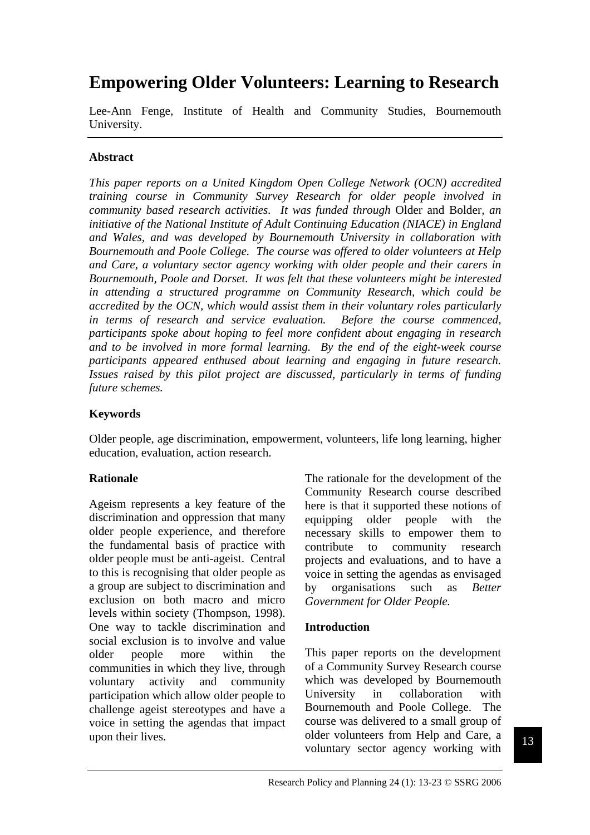# **Empowering Older Volunteers: Learning to Research**

Lee-Ann Fenge, Institute of Health and Community Studies, Bournemouth University.

## **Abstract**

*This paper reports on a United Kingdom Open College Network (OCN) accredited training course in Community Survey Research for older people involved in community based research activities. It was funded through* Older and Bolder*, an initiative of the National Institute of Adult Continuing Education (NIACE) in England and Wales, and was developed by Bournemouth University in collaboration with Bournemouth and Poole College. The course was offered to older volunteers at Help and Care, a voluntary sector agency working with older people and their carers in Bournemouth, Poole and Dorset. It was felt that these volunteers might be interested in attending a structured programme on Community Research, which could be accredited by the OCN, which would assist them in their voluntary roles particularly in terms of research and service evaluation. Before the course commenced, participants spoke about hoping to feel more confident about engaging in research and to be involved in more formal learning. By the end of the eight-week course participants appeared enthused about learning and engaging in future research. Issues raised by this pilot project are discussed, particularly in terms of funding future schemes.* 

## **Keywords**

Older people, age discrimination, empowerment, volunteers, life long learning, higher education, evaluation, action research.

#### **Rationale**

Ageism represents a key feature of the discrimination and oppression that many older people experience, and therefore the fundamental basis of practice with older people must be anti-ageist. Central to this is recognising that older people as a group are subject to discrimination and exclusion on both macro and micro levels within society (Thompson, 1998). One way to tackle discrimination and social exclusion is to involve and value older people more within the communities in which they live, through voluntary activity and community participation which allow older people to challenge ageist stereotypes and have a voice in setting the agendas that impact upon their lives.

The rationale for the development of the Community Research course described here is that it supported these notions of equipping older people with the necessary skills to empower them to contribute to community research projects and evaluations, and to have a voice in setting the agendas as envisaged by organisations such as *Better Government for Older People.* 

#### **Introduction**

This paper reports on the development of a Community Survey Research course which was developed by Bournemouth University in collaboration with Bournemouth and Poole College. The course was delivered to a small group of older volunteers from Help and Care, a voluntary sector agency working with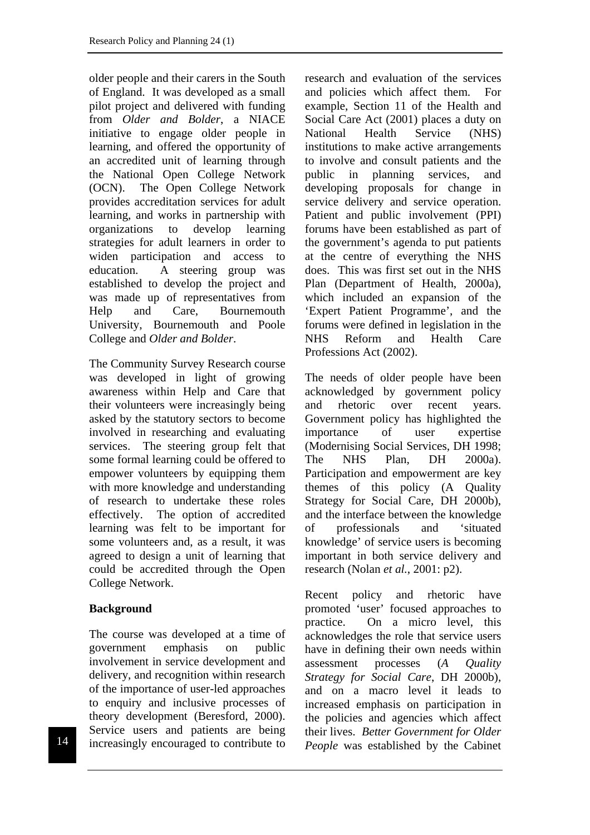older people and their carers in the South of England. It was developed as a small pilot project and delivered with funding from *Older and Bolder*, a NIACE initiative to engage older people in learning, and offered the opportunity of an accredited unit of learning through the National Open College Network (OCN). The Open College Network provides accreditation services for adult learning, and works in partnership with organizations to develop learning strategies for adult learners in order to widen participation and access to education. A steering group was established to develop the project and was made up of representatives from Help and Care, Bournemouth University, Bournemouth and Poole College and *Older and Bolder*.

The Community Survey Research course was developed in light of growing awareness within Help and Care that their volunteers were increasingly being asked by the statutory sectors to become involved in researching and evaluating services. The steering group felt that some formal learning could be offered to empower volunteers by equipping them with more knowledge and understanding of research to undertake these roles effectively. The option of accredited learning was felt to be important for some volunteers and, as a result, it was agreed to design a unit of learning that could be accredited through the Open College Network.

# **Background**

The course was developed at a time of government emphasis on public involvement in service development and delivery, and recognition within research of the importance of user-led approaches to enquiry and inclusive processes of theory development (Beresford, 2000). Service users and patients are being increasingly encouraged to contribute to research and evaluation of the services and policies which affect them. For example, Section 11 of the Health and Social Care Act (2001) places a duty on National Health Service (NHS) institutions to make active arrangements to involve and consult patients and the public in planning services, and developing proposals for change in service delivery and service operation. Patient and public involvement (PPI) forums have been established as part of the government's agenda to put patients at the centre of everything the NHS does. This was first set out in the NHS Plan (Department of Health, 2000a), which included an expansion of the 'Expert Patient Programme', and the forums were defined in legislation in the NHS Reform and Health Care Professions Act (2002).

The needs of older people have been acknowledged by government policy and rhetoric over recent years. Government policy has highlighted the importance of user expertise (Modernising Social Services, DH 1998; The NHS Plan, DH 2000a). Participation and empowerment are key themes of this policy (A Quality Strategy for Social Care, DH 2000b), and the interface between the knowledge of professionals and 'situated knowledge' of service users is becoming important in both service delivery and research (Nolan *et al.*, 2001: p2).

Recent policy and rhetoric have promoted 'user' focused approaches to practice. On a micro level, this acknowledges the role that service users have in defining their own needs within assessment processes (*A Quality Strategy for Social Care*, DH 2000b), and on a macro level it leads to increased emphasis on participation in the policies and agencies which affect their lives. *Better Government for Older*  **People** was established by the Cabinet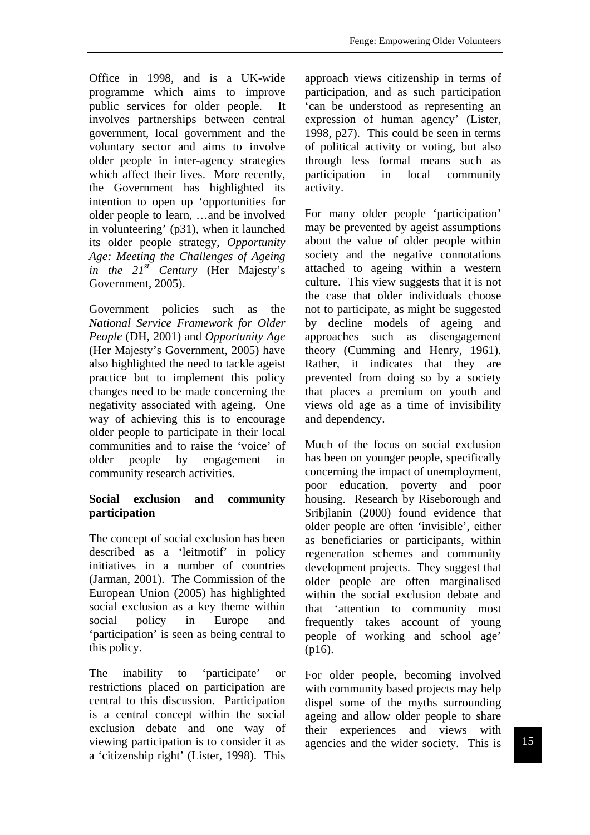Office in 1998, and is a UK-wide programme which aims to improve public services for older people. It involves partnerships between central government, local government and the voluntary sector and aims to involve older people in inter-agency strategies which affect their lives. More recently, the Government has highlighted its intention to open up 'opportunities for older people to learn, …and be involved in volunteering' (p31), when it launched its older people strategy, *Opportunity Age: Meeting the Challenges of Ageing in the 21st Century* (Her Majesty's Government, 2005).

Government policies such as the *National Service Framework for Older People* (DH, 2001) and *Opportunity Age* (Her Majesty's Government, 2005) have also highlighted the need to tackle ageist practice but to implement this policy changes need to be made concerning the negativity associated with ageing. One way of achieving this is to encourage older people to participate in their local communities and to raise the 'voice' of older people by engagement in community research activities.

## **Social exclusion and community participation**

The concept of social exclusion has been described as a 'leitmotif' in policy initiatives in a number of countries (Jarman, 2001). The Commission of the European Union (2005) has highlighted social exclusion as a key theme within social policy in Europe and 'participation' is seen as being central to this policy.

The inability to 'participate' or restrictions placed on participation are central to this discussion. Participation is a central concept within the social exclusion debate and one way of viewing participation is to consider it as a 'citizenship right' (Lister, 1998). This approach views citizenship in terms of participation, and as such participation 'can be understood as representing an expression of human agency' (Lister, 1998, p27). This could be seen in terms of political activity or voting, but also through less formal means such as participation in local community activity.

For many older people 'participation' may be prevented by ageist assumptions about the value of older people within society and the negative connotations attached to ageing within a western culture. This view suggests that it is not the case that older individuals choose not to participate, as might be suggested by decline models of ageing and approaches such as disengagement theory (Cumming and Henry, 1961). Rather, it indicates that they are prevented from doing so by a society that places a premium on youth and views old age as a time of invisibility and dependency.

Much of the focus on social exclusion has been on younger people, specifically concerning the impact of unemployment, poor education, poverty and poor housing. Research by Riseborough and Sribjlanin (2000) found evidence that older people are often 'invisible', either as beneficiaries or participants, within regeneration schemes and community development projects. They suggest that older people are often marginalised within the social exclusion debate and that 'attention to community most frequently takes account of young people of working and school age' (p16).

For older people, becoming involved with community based projects may help dispel some of the myths surrounding ageing and allow older people to share their experiences and views with agencies and the wider society. This is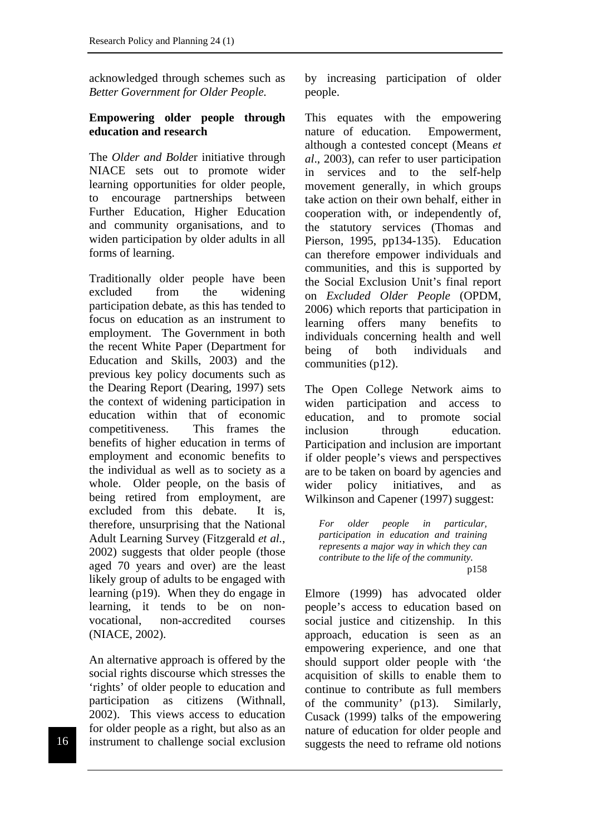acknowledged through schemes such as *Better Government for Older People.*

#### **Empowering older people through education and research**

The *Older and Bolde*r initiative through NIACE sets out to promote wider learning opportunities for older people, to encourage partnerships between Further Education, Higher Education and community organisations, and to widen participation by older adults in all forms of learning.

Traditionally older people have been excluded from the widening participation debate, as this has tended to focus on education as an instrument to employment. The Government in both the recent White Paper (Department for Education and Skills, 2003) and the previous key policy documents such as the Dearing Report (Dearing, 1997) sets the context of widening participation in education within that of economic competitiveness. This frames the benefits of higher education in terms of employment and economic benefits to the individual as well as to society as a whole. Older people, on the basis of being retired from employment, are excluded from this debate. It is, therefore, unsurprising that the National Adult Learning Survey (Fitzgerald *et al.*, 2002) suggests that older people (those aged 70 years and over) are the least likely group of adults to be engaged with learning (p19). When they do engage in learning, it tends to be on nonvocational, non-accredited courses (NIACE, 2002).

An alternative approach is offered by the social rights discourse which stresses the 'rights' of older people to education and participation as citizens (Withnall, 2002). This views access to education for older people as a right, but also as an instrument to challenge social exclusion by increasing participation of older people.

This equates with the empowering nature of education. Empowerment, although a contested concept (Means *et al*., 2003), can refer to user participation in services and to the self-help movement generally, in which groups take action on their own behalf, either in cooperation with, or independently of, the statutory services (Thomas and Pierson, 1995, pp134-135). Education can therefore empower individuals and communities, and this is supported by the Social Exclusion Unit's final report on *Excluded Older People* (OPDM, 2006) which reports that participation in learning offers many benefits to individuals concerning health and well being of both individuals and communities (p12).

The Open College Network aims to widen participation and access to education, and to promote social inclusion through education. Participation and inclusion are important if older people's views and perspectives are to be taken on board by agencies and wider policy initiatives, and as Wilkinson and Capener (1997) suggest:

*For older people in particular, participation in education and training represents a major way in which they can contribute to the life of the community.*  p158

Elmore (1999) has advocated older people's access to education based on social justice and citizenship. In this approach, education is seen as an empowering experience, and one that should support older people with 'the acquisition of skills to enable them to continue to contribute as full members of the community' (p13). Similarly, Cusack (1999) talks of the empowering nature of education for older people and 16 instrument to challenge social exclusion suggests the need to reframe old notions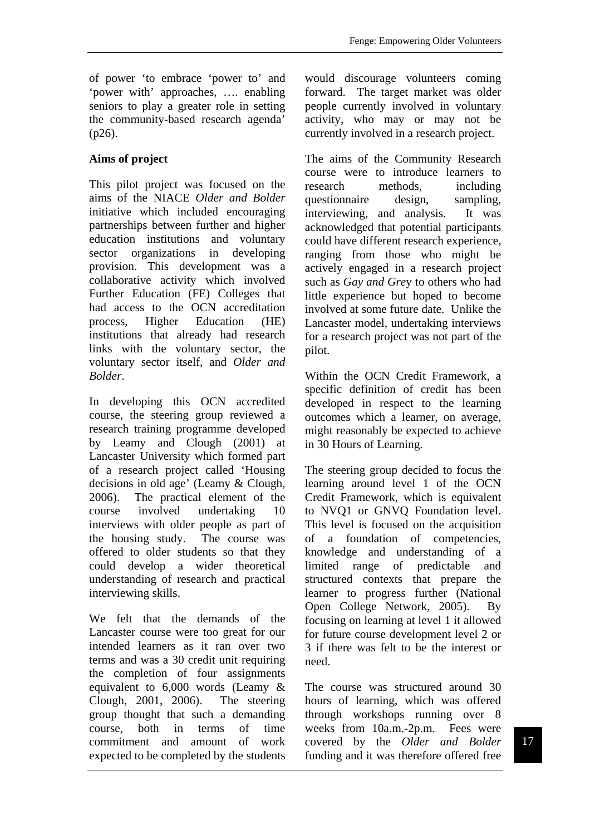of power 'to embrace 'power to' and 'power with' approaches, …. enabling seniors to play a greater role in setting the community-based research agenda' (p26).

# **Aims of project**

This pilot project was focused on the aims of the NIACE *Older and Bolder* initiative which included encouraging partnerships between further and higher education institutions and voluntary sector organizations in developing provision. This development was a collaborative activity which involved Further Education (FE) Colleges that had access to the OCN accreditation process, Higher Education (HE) institutions that already had research links with the voluntary sector, the voluntary sector itself, and *Older and Bolder*.

In developing this OCN accredited course, the steering group reviewed a research training programme developed by Leamy and Clough (2001) at Lancaster University which formed part of a research project called 'Housing decisions in old age' (Leamy & Clough, 2006). The practical element of the course involved undertaking 10 interviews with older people as part of the housing study. The course was offered to older students so that they could develop a wider theoretical understanding of research and practical interviewing skills.

We felt that the demands of the Lancaster course were too great for our intended learners as it ran over two terms and was a 30 credit unit requiring the completion of four assignments equivalent to 6,000 words (Leamy & Clough, 2001, 2006). The steering group thought that such a demanding course, both in terms of time commitment and amount of work expected to be completed by the students would discourage volunteers coming forward. The target market was older people currently involved in voluntary activity, who may or may not be currently involved in a research project.

The aims of the Community Research course were to introduce learners to research methods, including questionnaire design, sampling, interviewing, and analysis. It was acknowledged that potential participants could have different research experience, ranging from those who might be actively engaged in a research project such as *Gay and Gre*y to others who had little experience but hoped to become involved at some future date. Unlike the Lancaster model, undertaking interviews for a research project was not part of the pilot.

Within the OCN Credit Framework, a specific definition of credit has been developed in respect to the learning outcomes which a learner, on average, might reasonably be expected to achieve in 30 Hours of Learning.

The steering group decided to focus the learning around level 1 of the OCN Credit Framework, which is equivalent to NVQ1 or GNVQ Foundation level. This level is focused on the acquisition of a foundation of competencies, knowledge and understanding of a limited range of predictable and structured contexts that prepare the learner to progress further (National Open College Network, 2005). By focusing on learning at level 1 it allowed for future course development level 2 or 3 if there was felt to be the interest or need.

The course was structured around 30 hours of learning, which was offered through workshops running over 8 weeks from 10a.m.-2p.m. Fees were covered by the *Older and Bolder* funding and it was therefore offered free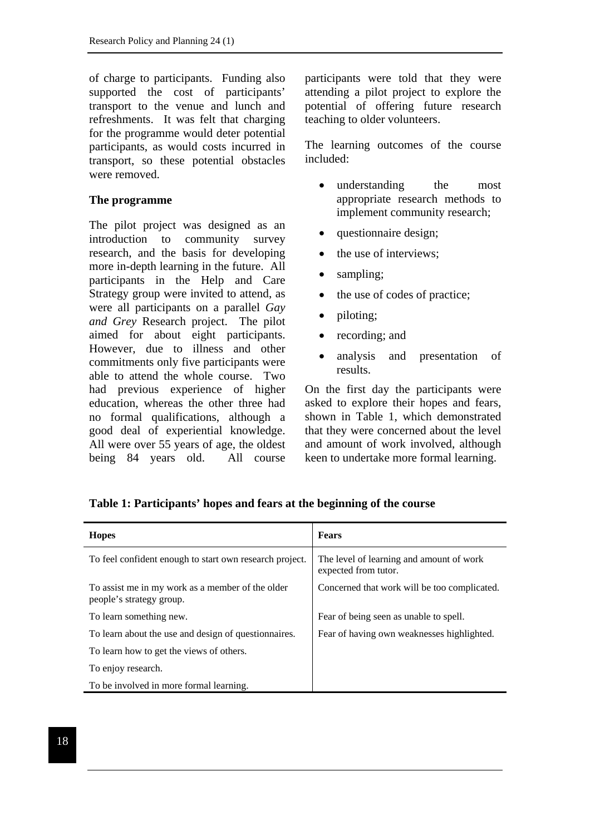of charge to participants. Funding also supported the cost of participants' transport to the venue and lunch and refreshments. It was felt that charging for the programme would deter potential participants, as would costs incurred in transport, so these potential obstacles were removed.

#### **The programme**

The pilot project was designed as an introduction to community survey research, and the basis for developing more in-depth learning in the future. All participants in the Help and Care Strategy group were invited to attend, as were all participants on a parallel *Gay and Grey* Research project. The pilot aimed for about eight participants. However, due to illness and other commitments only five participants were able to attend the whole course. Two had previous experience of higher education, whereas the other three had no formal qualifications, although a good deal of experiential knowledge. All were over 55 years of age, the oldest being 84 years old. All course participants were told that they were attending a pilot project to explore the potential of offering future research teaching to older volunteers.

The learning outcomes of the course included:

- understanding the most appropriate research methods to implement community research;
- questionnaire design;
- the use of interviews:
- sampling;
- the use of codes of practice:
- piloting;
- recording; and
- analysis and presentation of results.

On the first day the participants were asked to explore their hopes and fears, shown in Table 1, which demonstrated that they were concerned about the level and amount of work involved, although keen to undertake more formal learning.

| <b>Hopes</b>                                                                 | <b>Fears</b>                                                     |
|------------------------------------------------------------------------------|------------------------------------------------------------------|
| To feel confident enough to start own research project.                      | The level of learning and amount of work<br>expected from tutor. |
| To assist me in my work as a member of the older<br>people's strategy group. | Concerned that work will be too complicated.                     |
| To learn something new.                                                      | Fear of being seen as unable to spell.                           |
| To learn about the use and design of questionnaires.                         | Fear of having own weaknesses highlighted.                       |
| To learn how to get the views of others.                                     |                                                                  |
| To enjoy research.                                                           |                                                                  |
| To be involved in more formal learning.                                      |                                                                  |

**Table 1: Participants' hopes and fears at the beginning of the course**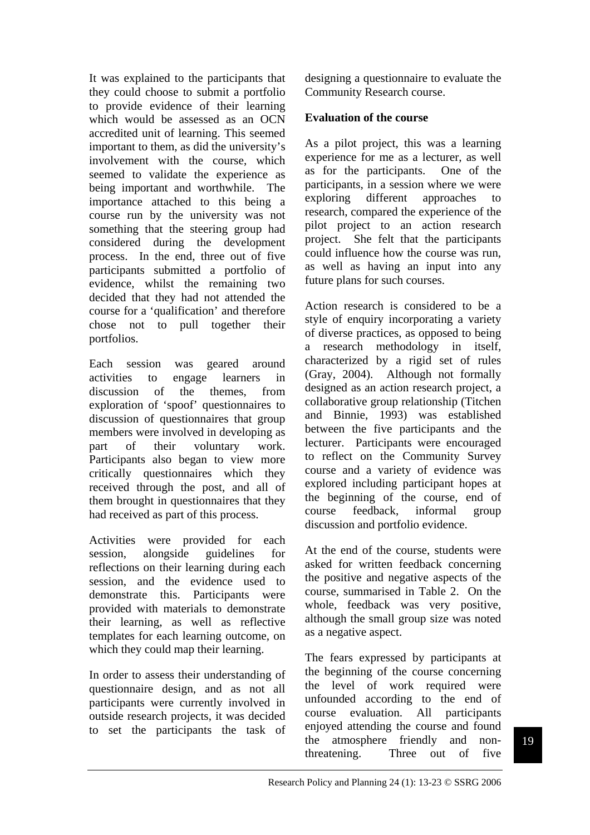It was explained to the participants that they could choose to submit a portfolio to provide evidence of their learning which would be assessed as an OCN accredited unit of learning. This seemed important to them, as did the university's involvement with the course, which seemed to validate the experience as being important and worthwhile. The importance attached to this being a course run by the university was not something that the steering group had considered during the development process. In the end, three out of five participants submitted a portfolio of evidence, whilst the remaining two decided that they had not attended the course for a 'qualification' and therefore chose not to pull together their portfolios.

Each session was geared around activities to engage learners in discussion of the themes, from exploration of 'spoof' questionnaires to discussion of questionnaires that group members were involved in developing as part of their voluntary work. Participants also began to view more critically questionnaires which they received through the post, and all of them brought in questionnaires that they had received as part of this process.

Activities were provided for each session, alongside guidelines for reflections on their learning during each session, and the evidence used to demonstrate this. Participants were provided with materials to demonstrate their learning, as well as reflective templates for each learning outcome, on which they could map their learning.

In order to assess their understanding of questionnaire design, and as not all participants were currently involved in outside research projects, it was decided to set the participants the task of

designing a questionnaire to evaluate the Community Research course.

## **Evaluation of the course**

As a pilot project, this was a learning experience for me as a lecturer, as well as for the participants. One of the participants, in a session where we were exploring different approaches to research, compared the experience of the pilot project to an action research project. She felt that the participants could influence how the course was run, as well as having an input into any future plans for such courses.

Action research is considered to be a style of enquiry incorporating a variety of diverse practices, as opposed to being a research methodology in itself, characterized by a rigid set of rules (Gray, 2004). Although not formally designed as an action research project, a collaborative group relationship (Titchen and Binnie, 1993) was established between the five participants and the lecturer. Participants were encouraged to reflect on the Community Survey course and a variety of evidence was explored including participant hopes at the beginning of the course, end of course feedback, informal group discussion and portfolio evidence.

At the end of the course, students were asked for written feedback concerning the positive and negative aspects of the course, summarised in Table 2. On the whole, feedback was very positive, although the small group size was noted as a negative aspect.

The fears expressed by participants at the beginning of the course concerning the level of work required were unfounded according to the end of course evaluation. All participants enjoyed attending the course and found the atmosphere friendly and nonthreatening. Three out of five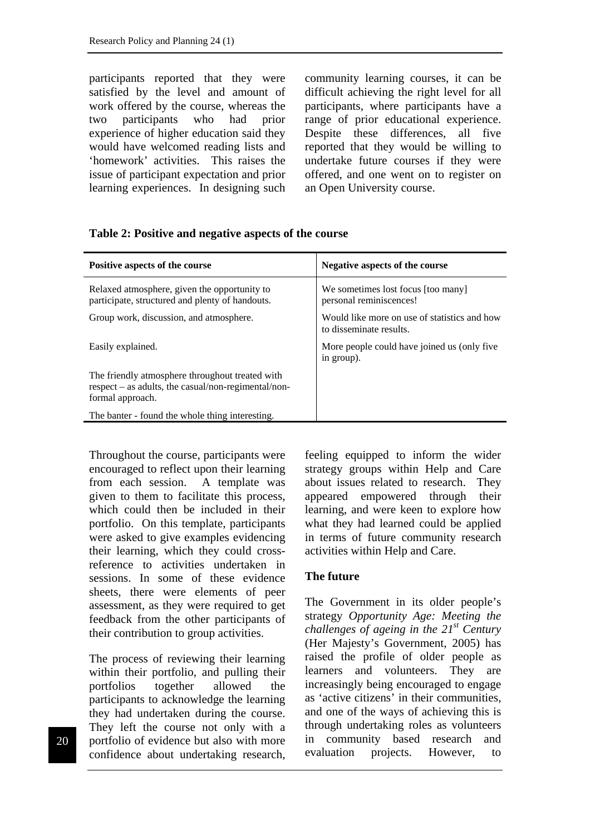participants reported that they were satisfied by the level and amount of work offered by the course, whereas the two participants who had prior experience of higher education said they would have welcomed reading lists and 'homework' activities. This raises the issue of participant expectation and prior learning experiences. In designing such community learning courses, it can be difficult achieving the right level for all participants, where participants have a range of prior educational experience. Despite these differences, all five reported that they would be willing to undertake future courses if they were offered, and one went on to register on an Open University course.

#### **Table 2: Positive and negative aspects of the course**

| Positive aspects of the course                                                                                               | Negative aspects of the course                                          |
|------------------------------------------------------------------------------------------------------------------------------|-------------------------------------------------------------------------|
| Relaxed atmosphere, given the opportunity to<br>participate, structured and plenty of handouts.                              | We sometimes lost focus [too many]<br>personal reminiscences!           |
| Group work, discussion, and atmosphere.                                                                                      | Would like more on use of statistics and how<br>to disseminate results. |
| Easily explained.                                                                                                            | More people could have joined us (only five<br>in group).               |
| The friendly atmosphere throughout treated with<br>$respect - as adults, the casual/non-regimental/non-$<br>formal approach. |                                                                         |
| The banter - found the whole thing interesting.                                                                              |                                                                         |

Throughout the course, participants were encouraged to reflect upon their learning from each session. A template was given to them to facilitate this process, which could then be included in their portfolio. On this template, participants were asked to give examples evidencing their learning, which they could crossreference to activities undertaken in sessions. In some of these evidence sheets, there were elements of peer assessment, as they were required to get feedback from the other participants of their contribution to group activities.

The process of reviewing their learning within their portfolio, and pulling their portfolios together allowed the participants to acknowledge the learning they had undertaken during the course. They left the course not only with a portfolio of evidence but also with more confidence about undertaking research, feeling equipped to inform the wider strategy groups within Help and Care about issues related to research. They appeared empowered through their learning, and were keen to explore how what they had learned could be applied in terms of future community research activities within Help and Care.

#### **The future**

The Government in its older people's strategy *Opportunity Age: Meeting the challenges of ageing in the 21st Century* (Her Majesty's Government, 2005) has raised the profile of older people as learners and volunteers. They are increasingly being encouraged to engage as 'active citizens' in their communities, and one of the ways of achieving this is through undertaking roles as volunteers in community based research and evaluation projects. However, to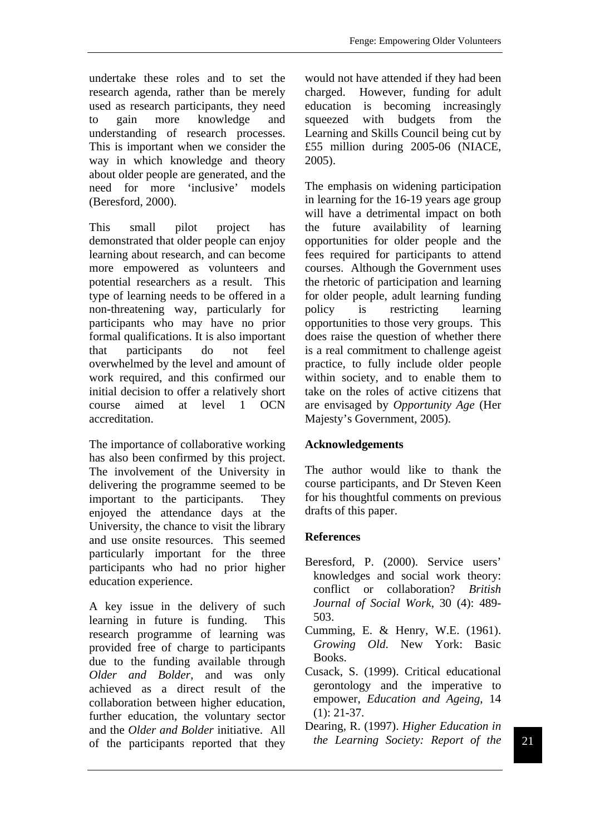undertake these roles and to set the research agenda, rather than be merely used as research participants, they need to gain more knowledge and understanding of research processes. This is important when we consider the way in which knowledge and theory about older people are generated, and the need for more 'inclusive' models (Beresford, 2000).

This small pilot project has demonstrated that older people can enjoy learning about research, and can become more empowered as volunteers and potential researchers as a result. This type of learning needs to be offered in a non-threatening way, particularly for participants who may have no prior formal qualifications. It is also important that participants do not feel overwhelmed by the level and amount of work required, and this confirmed our initial decision to offer a relatively short course aimed at level 1 OCN accreditation.

The importance of collaborative working has also been confirmed by this project. The involvement of the University in delivering the programme seemed to be important to the participants. They enjoyed the attendance days at the University, the chance to visit the library and use onsite resources. This seemed particularly important for the three participants who had no prior higher education experience.

A key issue in the delivery of such learning in future is funding. This research programme of learning was provided free of charge to participants due to the funding available through *Older and Bolder*, and was only achieved as a direct result of the collaboration between higher education, further education, the voluntary sector and the *Older and Bolder* initiative. All of the participants reported that they would not have attended if they had been charged. However, funding for adult education is becoming increasingly squeezed with budgets from the Learning and Skills Council being cut by £55 million during 2005-06 (NIACE, 2005).

The emphasis on widening participation in learning for the 16-19 years age group will have a detrimental impact on both the future availability of learning opportunities for older people and the fees required for participants to attend courses. Although the Government uses the rhetoric of participation and learning for older people, adult learning funding policy is restricting learning opportunities to those very groups. This does raise the question of whether there is a real commitment to challenge ageist practice, to fully include older people within society, and to enable them to take on the roles of active citizens that are envisaged by *Opportunity Age* (Her Majesty's Government, 2005).

# **Acknowledgements**

The author would like to thank the course participants, and Dr Steven Keen for his thoughtful comments on previous drafts of this paper.

# **References**

- Beresford, P. (2000). Service users' knowledges and social work theory: conflict or collaboration? *British Journal of Social Work*, 30 (4): 489- 503.
- Cumming, E. & Henry, W.E. (1961). *Growing Old*. New York: Basic Books.
- Cusack, S. (1999). Critical educational gerontology and the imperative to empower, *Education and Ageing*, 14 (1): 21-37.
- Dearing, R. (1997). *Higher Education in the Learning Society: Report of the*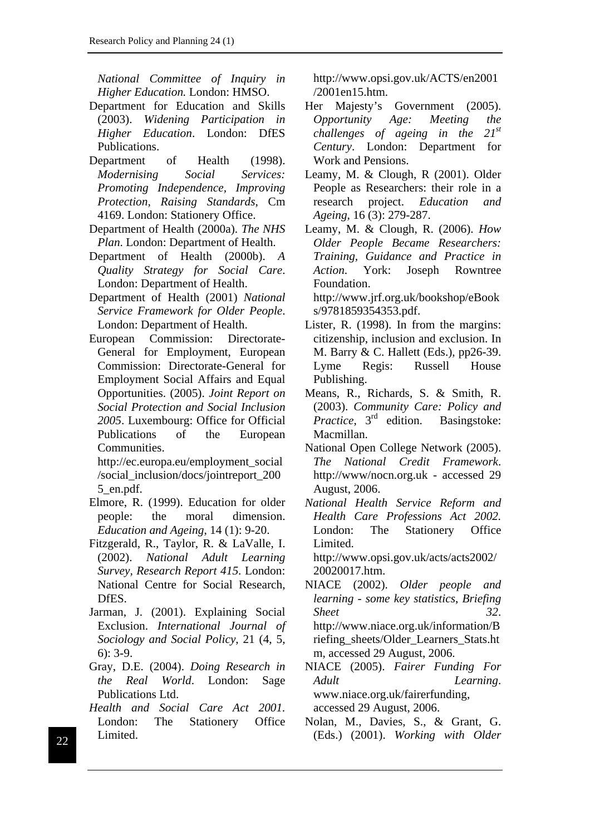*National Committee of Inquiry in Higher Education.* London: HMSO.

- Department for Education and Skills (2003). *Widening Participation in Higher Education*. London: DfES Publications.
- Department of Health (1998). *Modernising Social Services: Promoting Independence, Improving Protection, Raising Standards*, Cm 4169. London: Stationery Office.
- Department of Health (2000a). *The NHS Plan*. London: Department of Health.
- Department of Health (2000b). *A Quality Strategy for Social Care*. London: Department of Health.
- Department of Health (2001) *National Service Framework for Older People*. London: Department of Health.
- European Commission: Directorate-General for Employment, European Commission: Directorate-General for Employment Social Affairs and Equal Opportunities. (2005). *Joint Report on Social Protection and Social Inclusion 2005*. Luxembourg: Office for Official Publications of the European Communities.

http://ec.europa.eu/employment\_social /social\_inclusion/docs/jointreport\_200 5\_en.pdf.

- Elmore, R. (1999). Education for older people: the moral dimension. *Education and Ageing*, 14 (1): 9-20.
- Fitzgerald, R., Taylor, R. & LaValle, I. (2002). *National Adult Learning Survey, Research Report 415*. London: National Centre for Social Research, DfES.
- Jarman, J. (2001). Explaining Social Exclusion. *International Journal of Sociology and Social Policy*, 21 (4, 5, 6): 3-9.
- Gray, D.E. (2004). *Doing Research in the Real World*. London: Sage Publications Ltd.
- *Health and Social Care Act 2001.* London: The Stationery Office Limited. (Eds.) (2001). *Working with Older* <sup>22</sup>

http://www.opsi.gov.uk/ACTS/en2001 /2001en15.htm.

- Her Majesty's Government (2005). *Opportunity Age: Meeting the challenges of ageing in the 21st Century*. London: Department for Work and Pensions.
- Leamy, M. & Clough, R (2001). Older People as Researchers: their role in a research project. *Education and Ageing*, 16 (3): 279-287.
- Leamy, M. & Clough, R. (2006). *How Older People Became Researchers: Training, Guidance and Practice in Action*. York: Joseph Rowntree Foundation.

http://www.jrf.org.uk/bookshop/eBook s/9781859354353.pdf.

- Lister, R. (1998). In from the margins: citizenship, inclusion and exclusion. In M. Barry & C. Hallett (Eds.), pp26-39. Lyme Regis: Russell House Publishing.
- Means, R., Richards, S. & Smith, R. (2003). *Community Care: Policy and Practice*, 3<sup>rd</sup> edition. Basingstoke: Macmillan.
- National Open College Network (2005). *The National Credit Framework*. http://www/nocn.org.uk - accessed 29 August, 2006.
- *National Health Service Reform and Health Care Professions Act 2002.* London: The Stationery Office Limited.

http://www.opsi.gov.uk/acts/acts2002/ 20020017.htm.

- NIACE (2002). *Older people and learning - some key statistics*, *Briefing Sheet 32*. http://www.niace.org.uk/information/B riefing\_sheets/Older\_Learners\_Stats.ht m, accessed 29 August, 2006.
- NIACE (2005). *Fairer Funding For Adult Learning*. www.niace.org.uk/fairerfunding, accessed 29 August, 2006.
- Nolan, M., Davies, S., & Grant, G.